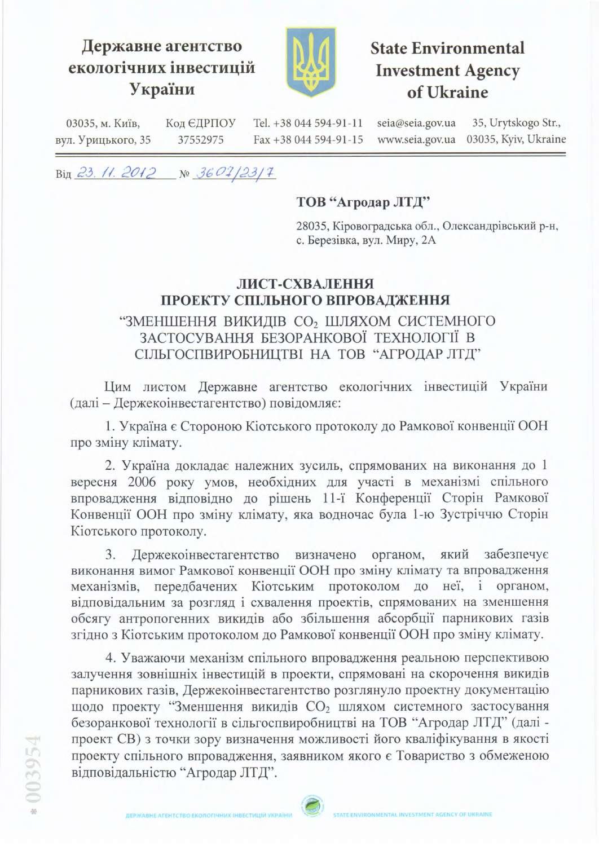## Державне агентство екологічних інвестицій України



## **State Environmental Investment Agency** of Ukraine

Tel. +38 044 594-91-11 seia@seia.gov.ua 35, Urytskogo Str., 03035, м. Київ, Код ЄДРПОУ 03035, Kyiv, Ukraine Fax +38 044 594-91-15 www.seia.gov.ua вул. Урицького, 35 37552975

Big 23, 11. 2012  $N^{\circ}$  3607/23/7

## ТОВ "Агродар ЛТД"

28035, Кіровоградська обл., Олександрівський р-н, с. Березівка, вул. Миру, 2А

## ЛИСТ-СХВАЛЕННЯ ПРОЕКТУ СПІЛЬНОГО ВПРОВАДЖЕННЯ "ЗМЕНШЕННЯ ВИКИДІВ СО2 ШЛЯХОМ СИСТЕМНОГО ЗАСТОСУВАННЯ БЕЗОРАНКОВОЇ ТЕХНОЛОГІЇ В

СІЛЬГОСПВИРОБНИЦТВІ НА ТОВ "АГРОДАР ЛТД"

Цим листом Державне агентство екологічних інвестицій України (далі - Держекоінвестагентство) повідомляє:

1. Україна є Стороною Кіотського протоколу до Рамкової конвенції ООН про зміну клімату.

2. Україна докладає належних зусиль, спрямованих на виконання до 1 вересня 2006 року умов, необхідних для участі в механізмі спільного впровадження відповідно до рішень 11-ї Конференції Сторін Рамкової Конвенції ООН про зміну клімату, яка водночас була 1-ю Зустріччю Сторін Кіотського протоколу.

3. Держекоінвестагентство визначено органом, який забезпечує виконання вимог Рамкової конвенції ООН про зміну клімату та впровадження механізмів, передбачених Кіотським протоколом до неї, і органом, відповідальним за розгляд і схвалення проектів, спрямованих на зменшення обсягу антропогенних викидів або збільшення абсорбції парникових газів згідно з Кіотським протоколом до Рамкової конвенції ООН про зміну клімату.

4. Уважаючи механізм спільного впровадження реальною перспективою залучення зовнішніх інвестицій в проекти, спрямовані на скорочення викидів парникових газів, Держекоінвестагентство розглянуло проектну документацію щодо проекту "Зменшення викидів СО<sub>2</sub> шляхом системного застосування безоранкової технології в сільгоспвиробництві на ТОВ "Агродар ЛТД" (далі проект СВ) з точки зору визначення можливості його кваліфікування в якості проекту спільного впровадження, заявником якого є Товариство з обмеженою відповідальністю "Агродар ЛТД".